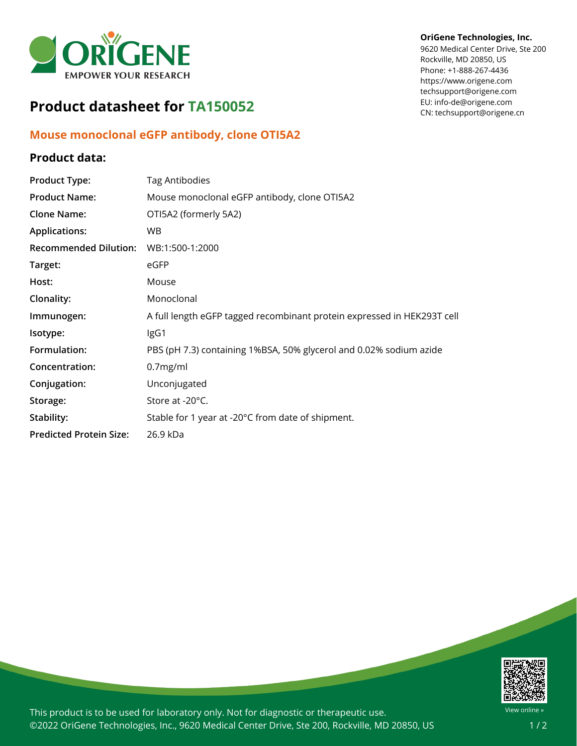

# **Product datasheet for TA150052**

## **Mouse monoclonal eGFP antibody, clone OTI5A2**

### **Product data:**

#### **OriGene Technologies, Inc.**

9620 Medical Center Drive, Ste 200 Rockville, MD 20850, US Phone: +1-888-267-4436 https://www.origene.com techsupport@origene.com EU: info-de@origene.com CN: techsupport@origene.cn

| <b>Product Type:</b>           | <b>Tag Antibodies</b>                                                   |
|--------------------------------|-------------------------------------------------------------------------|
| <b>Product Name:</b>           | Mouse monoclonal eGFP antibody, clone OTI5A2                            |
| <b>Clone Name:</b>             | OTI5A2 (formerly 5A2)                                                   |
| <b>Applications:</b>           | <b>WB</b>                                                               |
| <b>Recommended Dilution:</b>   | WB:1:500-1:2000                                                         |
| Target:                        | eGFP                                                                    |
| Host:                          | Mouse                                                                   |
| Clonality:                     | Monoclonal                                                              |
| Immunogen:                     | A full length eGFP tagged recombinant protein expressed in HEK293T cell |
| Isotype:                       | IgG1                                                                    |
| Formulation:                   | PBS (pH 7.3) containing 1%BSA, 50% glycerol and 0.02% sodium azide      |
| Concentration:                 | 0.7mg/ml                                                                |
| Conjugation:                   | Unconjugated                                                            |
| Storage:                       | Store at -20°C.                                                         |
| Stability:                     | Stable for 1 year at -20°C from date of shipment.                       |
| <b>Predicted Protein Size:</b> | 26.9 kDa                                                                |



This product is to be used for laboratory only. Not for diagnostic or therapeutic use. ©2022 OriGene Technologies, Inc., 9620 Medical Center Drive, Ste 200, Rockville, MD 20850, US